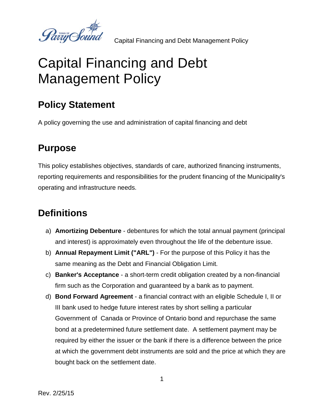Party Sound

# Capital Financing and Debt Management Policy

# **Policy Statement**

A policy governing the use and administration of capital financing and debt

#### **Purpose**

This policy establishes objectives, standards of care, authorized financing instruments, reporting requirements and responsibilities for the prudent financing of the Municipality's operating and infrastructure needs.

# **Definitions**

- a) **Amortizing Debenture** debentures for which the total annual payment (principal and interest) is approximately even throughout the life of the debenture issue.
- b) **Annual Repayment Limit ("ARL")** For the purpose of this Policy it has the same meaning as the Debt and Financial Obligation Limit.
- c) **Banker's Acceptance** a short-term credit obligation created by a non-financial firm such as the Corporation and guaranteed by a bank as to payment.
- d) **Bond Forward Agreement** a financial contract with an eligible Schedule I, II or III bank used to hedge future interest rates by short selling a particular Government of Canada or Province of Ontario bond and repurchase the same bond at a predetermined future settlement date. A settlement payment may be required by either the issuer or the bank if there is a difference between the price at which the government debt instruments are sold and the price at which they are bought back on the settlement date.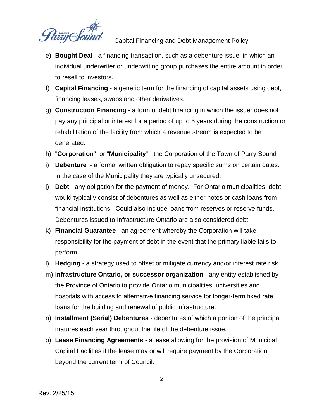

- e) **Bought Deal** a financing transaction, such as a debenture issue, in which an individual underwriter or underwriting group purchases the entire amount in order to resell to investors.
- f) **Capital Financing** a generic term for the financing of capital assets using debt, financing leases, swaps and other derivatives.
- g) **Construction Financing** a form of debt financing in which the issuer does not pay any principal or interest for a period of up to 5 years during the construction or rehabilitation of the facility from which a revenue stream is expected to be generated.
- h) "**Corporation**" or "**Municipality**" the Corporation of the Town of Parry Sound
- i) **Debenture** a formal written obligation to repay specific sums on certain dates. In the case of the Municipality they are typically unsecured.
- j) **Debt** any obligation for the payment of money. For Ontario municipalities, debt would typically consist of debentures as well as either notes or cash loans from financial institutions. Could also include loans from reserves or reserve funds. Debentures issued to Infrastructure Ontario are also considered debt.
- k) **Financial Guarantee** an agreement whereby the Corporation will take responsibility for the payment of debt in the event that the primary liable fails to perform.
- l) **Hedging** a strategy used to offset or mitigate currency and/or interest rate risk.
- m) **Infrastructure Ontario, or successor organization** any entity established by the Province of Ontario to provide Ontario municipalities, universities and hospitals with access to alternative financing service for longer-term fixed rate loans for the building and renewal of public infrastructure.
- n) **Installment (Serial) Debentures** debentures of which a portion of the principal matures each year throughout the life of the debenture issue.
- o) **Lease Financing Agreements** a lease allowing for the provision of Municipal Capital Facilities if the lease may or will require payment by the Corporation beyond the current term of Council.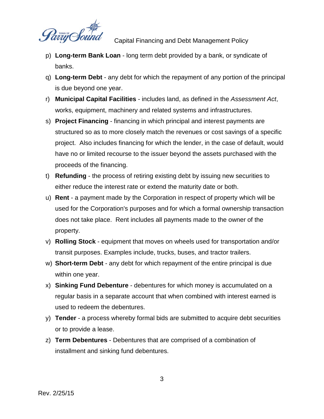

- p) **Long-term Bank Loan** long term debt provided by a bank, or syndicate of banks.
- q) **Long-term Debt** any debt for which the repayment of any portion of the principal is due beyond one year.
- r) **Municipal Capital Facilities** includes land, as defined in the *Assessment Act*, works, equipment, machinery and related systems and infrastructures.
- s) **Project Financing** financing in which principal and interest payments are structured so as to more closely match the revenues or cost savings of a specific project. Also includes financing for which the lender, in the case of default, would have no or limited recourse to the issuer beyond the assets purchased with the proceeds of the financing.
- t) **Refunding** the process of retiring existing debt by issuing new securities to either reduce the interest rate or extend the maturity date or both.
- u) **Rent** a payment made by the Corporation in respect of property which will be used for the Corporation's purposes and for which a formal ownership transaction does not take place. Rent includes all payments made to the owner of the property.
- v) **Rolling Stock** equipment that moves on wheels used for transportation and/or transit purposes. Examples include, trucks, buses, and tractor trailers.
- w) **Short-term Debt** any debt for which repayment of the entire principal is due within one year.
- x) **Sinking Fund Debenture** debentures for which money is accumulated on a regular basis in a separate account that when combined with interest earned is used to redeem the debentures.
- y) **Tender** a process whereby formal bids are submitted to acquire debt securities or to provide a lease.
- z) **Term Debentures** Debentures that are comprised of a combination of installment and sinking fund debentures.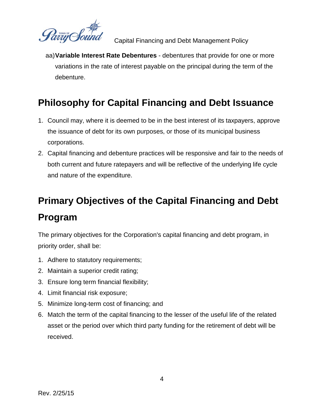

aa)**Variable Interest Rate Debentures** - debentures that provide for one or more variations in the rate of interest payable on the principal during the term of the debenture.

# **Philosophy for Capital Financing and Debt Issuance**

- 1. Council may, where it is deemed to be in the best interest of its taxpayers, approve the issuance of debt for its own purposes, or those of its municipal business corporations.
- 2. Capital financing and debenture practices will be responsive and fair to the needs of both current and future ratepayers and will be reflective of the underlying life cycle and nature of the expenditure.

# **Primary Objectives of the Capital Financing and Debt Program**

The primary objectives for the Corporation's capital financing and debt program, in priority order, shall be:

- 1. Adhere to statutory requirements;
- 2. Maintain a superior credit rating;
- 3. Ensure long term financial flexibility;
- 4. Limit financial risk exposure;
- 5. Minimize long-term cost of financing; and
- 6. Match the term of the capital financing to the lesser of the useful life of the related asset or the period over which third party funding for the retirement of debt will be received.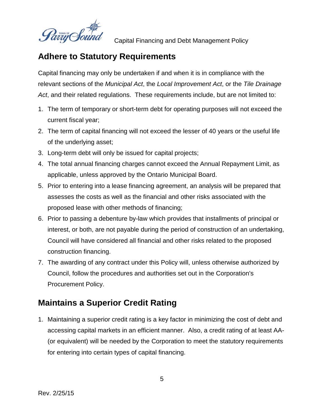

#### **Adhere to Statutory Requirements**

Capital financing may only be undertaken if and when it is in compliance with the relevant sections of the *Municipal Act*, the *Local Improvement Act*, or the *Tile Drainage Act*, and their related regulations. These requirements include, but are not limited to:

- 1. The term of temporary or short-term debt for operating purposes will not exceed the current fiscal year;
- 2. The term of capital financing will not exceed the lesser of 40 years or the useful life of the underlying asset;
- 3. Long-term debt will only be issued for capital projects;
- 4. The total annual financing charges cannot exceed the Annual Repayment Limit, as applicable, unless approved by the Ontario Municipal Board.
- 5. Prior to entering into a lease financing agreement, an analysis will be prepared that assesses the costs as well as the financial and other risks associated with the proposed lease with other methods of financing;
- 6. Prior to passing a debenture by-law which provides that installments of principal or interest, or both, are not payable during the period of construction of an undertaking, Council will have considered all financial and other risks related to the proposed construction financing.
- 7. The awarding of any contract under this Policy will, unless otherwise authorized by Council, follow the procedures and authorities set out in the Corporation's Procurement Policy.

#### **Maintains a Superior Credit Rating**

1. Maintaining a superior credit rating is a key factor in minimizing the cost of debt and accessing capital markets in an efficient manner. Also, a credit rating of at least AA- (or equivalent) will be needed by the Corporation to meet the statutory requirements for entering into certain types of capital financing.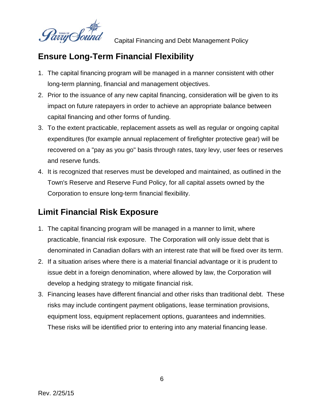

#### **Ensure Long-Term Financial Flexibility**

- 1. The capital financing program will be managed in a manner consistent with other long-term planning, financial and management objectives.
- 2. Prior to the issuance of any new capital financing, consideration will be given to its impact on future ratepayers in order to achieve an appropriate balance between capital financing and other forms of funding.
- 3. To the extent practicable, replacement assets as well as regular or ongoing capital expenditures (for example annual replacement of firefighter protective gear) will be recovered on a "pay as you go" basis through rates, taxy levy, user fees or reserves and reserve funds.
- 4. It is recognized that reserves must be developed and maintained, as outlined in the Town's Reserve and Reserve Fund Policy, for all capital assets owned by the Corporation to ensure long-term financial flexibility.

#### **Limit Financial Risk Exposure**

- 1. The capital financing program will be managed in a manner to limit, where practicable, financial risk exposure. The Corporation will only issue debt that is denominated in Canadian dollars with an interest rate that will be fixed over its term.
- 2. If a situation arises where there is a material financial advantage or it is prudent to issue debt in a foreign denomination, where allowed by law, the Corporation will develop a hedging strategy to mitigate financial risk.
- 3. Financing leases have different financial and other risks than traditional debt. These risks may include contingent payment obligations, lease termination provisions, equipment loss, equipment replacement options, guarantees and indemnities. These risks will be identified prior to entering into any material financing lease.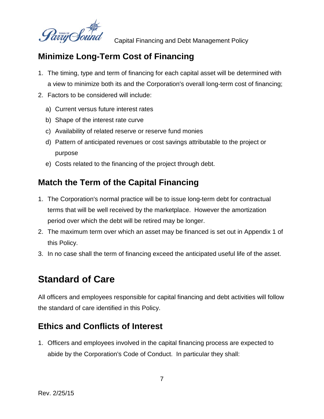

#### **Minimize Long-Term Cost of Financing**

- 1. The timing, type and term of financing for each capital asset will be determined with a view to minimize both its and the Corporation's overall long-term cost of financing;
- 2. Factors to be considered will include:
	- a) Current versus future interest rates
	- b) Shape of the interest rate curve
	- c) Availability of related reserve or reserve fund monies
	- d) Pattern of anticipated revenues or cost savings attributable to the project or purpose
	- e) Costs related to the financing of the project through debt.

#### **Match the Term of the Capital Financing**

- 1. The Corporation's normal practice will be to issue long-term debt for contractual terms that will be well received by the marketplace. However the amortization period over which the debt will be retired may be longer.
- 2. The maximum term over which an asset may be financed is set out in Appendix 1 of this Policy.
- 3. In no case shall the term of financing exceed the anticipated useful life of the asset.

#### **Standard of Care**

All officers and employees responsible for capital financing and debt activities will follow the standard of care identified in this Policy.

#### **Ethics and Conflicts of Interest**

1. Officers and employees involved in the capital financing process are expected to abide by the Corporation's Code of Conduct. In particular they shall: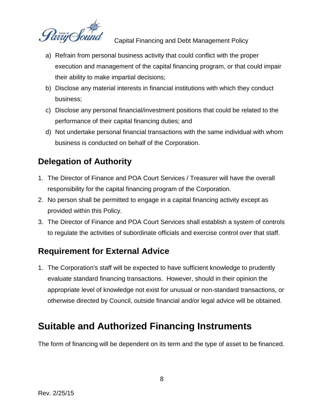

- a) Refrain from personal business activity that could conflict with the proper execution and management of the capital financing program, or that could impair their ability to make impartial decisions;
- b) Disclose any material interests in financial institutions with which they conduct business;
- c) Disclose any personal financial/investment positions that could be related to the performance of their capital financing duties; and
- d) Not undertake personal financial transactions with the same individual with whom business is conducted on behalf of the Corporation.

#### **Delegation of Authority**

- 1. The Director of Finance and POA Court Services / Treasurer will have the overall responsibility for the capital financing program of the Corporation.
- 2. No person shall be permitted to engage in a capital financing activity except as provided within this Policy.
- 3. The Director of Finance and POA Court Services shall establish a system of controls to regulate the activities of subordinate officials and exercise control over that staff.

#### **Requirement for External Advice**

1. The Corporation's staff will be expected to have sufficient knowledge to prudently evaluate standard financing transactions. However, should in their opinion the appropriate level of knowledge not exist for unusual or non-standard transactions, or otherwise directed by Council, outside financial and/or legal advice will be obtained.

### **Suitable and Authorized Financing Instruments**

The form of financing will be dependent on its term and the type of asset to be financed.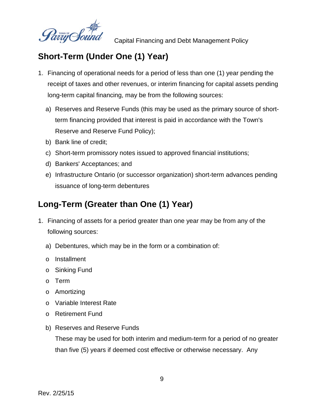

#### **Short-Term (Under One (1) Year)**

- 1. Financing of operational needs for a period of less than one (1) year pending the receipt of taxes and other revenues, or interim financing for capital assets pending long-term capital financing, may be from the following sources:
	- a) Reserves and Reserve Funds (this may be used as the primary source of shortterm financing provided that interest is paid in accordance with the Town's Reserve and Reserve Fund Policy);
	- b) Bank line of credit;
	- c) Short-term promissory notes issued to approved financial institutions;
	- d) Bankers' Acceptances; and
	- e) Infrastructure Ontario (or successor organization) short-term advances pending issuance of long-term debentures

#### **Long-Term (Greater than One (1) Year)**

- 1. Financing of assets for a period greater than one year may be from any of the following sources:
	- a) Debentures, which may be in the form or a combination of:
	- o Installment
	- o Sinking Fund
	- o Term
	- o Amortizing
	- o Variable Interest Rate
	- o Retirement Fund
	- b) Reserves and Reserve Funds

These may be used for both interim and medium-term for a period of no greater than five (5) years if deemed cost effective or otherwise necessary. Any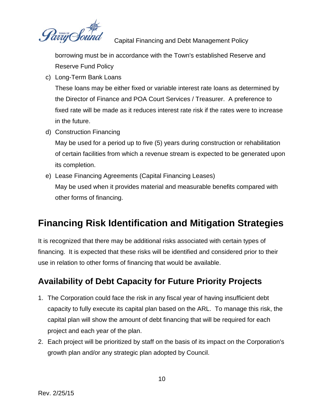

borrowing must be in accordance with the Town's established Reserve and Reserve Fund Policy

c) Long-Term Bank Loans

These loans may be either fixed or variable interest rate loans as determined by the Director of Finance and POA Court Services / Treasurer. A preference to fixed rate will be made as it reduces interest rate risk if the rates were to increase in the future.

d) Construction Financing

May be used for a period up to five (5) years during construction or rehabilitation of certain facilities from which a revenue stream is expected to be generated upon its completion.

e) Lease Financing Agreements (Capital Financing Leases) May be used when it provides material and measurable benefits compared with other forms of financing.

# **Financing Risk Identification and Mitigation Strategies**

It is recognized that there may be additional risks associated with certain types of financing. It is expected that these risks will be identified and considered prior to their use in relation to other forms of financing that would be available.

#### **Availability of Debt Capacity for Future Priority Projects**

- 1. The Corporation could face the risk in any fiscal year of having insufficient debt capacity to fully execute its capital plan based on the ARL. To manage this risk, the capital plan will show the amount of debt financing that will be required for each project and each year of the plan.
- 2. Each project will be prioritized by staff on the basis of its impact on the Corporation's growth plan and/or any strategic plan adopted by Council.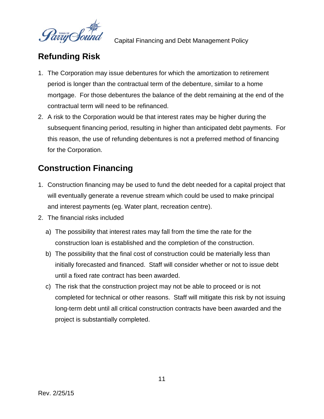

#### **Refunding Risk**

- 1. The Corporation may issue debentures for which the amortization to retirement period is longer than the contractual term of the debenture, similar to a home mortgage. For those debentures the balance of the debt remaining at the end of the contractual term will need to be refinanced.
- 2. A risk to the Corporation would be that interest rates may be higher during the subsequent financing period, resulting in higher than anticipated debt payments. For this reason, the use of refunding debentures is not a preferred method of financing for the Corporation.

#### **Construction Financing**

- 1. Construction financing may be used to fund the debt needed for a capital project that will eventually generate a revenue stream which could be used to make principal and interest payments (eg. Water plant, recreation centre).
- 2. The financial risks included
	- a) The possibility that interest rates may fall from the time the rate for the construction loan is established and the completion of the construction.
	- b) The possibility that the final cost of construction could be materially less than initially forecasted and financed. Staff will consider whether or not to issue debt until a fixed rate contract has been awarded.
	- c) The risk that the construction project may not be able to proceed or is not completed for technical or other reasons. Staff will mitigate this risk by not issuing long-term debt until all critical construction contracts have been awarded and the project is substantially completed.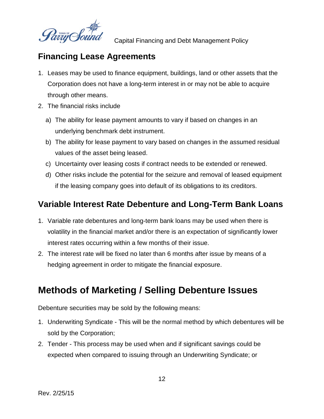

#### **Financing Lease Agreements**

- 1. Leases may be used to finance equipment, buildings, land or other assets that the Corporation does not have a long-term interest in or may not be able to acquire through other means.
- 2. The financial risks include
	- a) The ability for lease payment amounts to vary if based on changes in an underlying benchmark debt instrument.
	- b) The ability for lease payment to vary based on changes in the assumed residual values of the asset being leased.
	- c) Uncertainty over leasing costs if contract needs to be extended or renewed.
	- d) Other risks include the potential for the seizure and removal of leased equipment if the leasing company goes into default of its obligations to its creditors.

#### **Variable Interest Rate Debenture and Long-Term Bank Loans**

- 1. Variable rate debentures and long-term bank loans may be used when there is volatility in the financial market and/or there is an expectation of significantly lower interest rates occurring within a few months of their issue.
- 2. The interest rate will be fixed no later than 6 months after issue by means of a hedging agreement in order to mitigate the financial exposure.

#### **Methods of Marketing / Selling Debenture Issues**

Debenture securities may be sold by the following means:

- 1. Underwriting Syndicate This will be the normal method by which debentures will be sold by the Corporation;
- 2. Tender This process may be used when and if significant savings could be expected when compared to issuing through an Underwriting Syndicate; or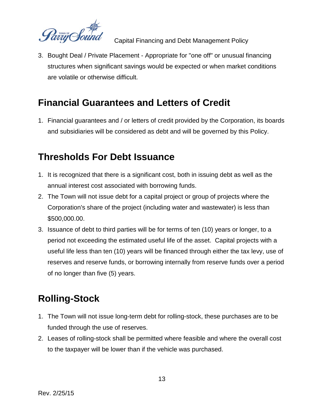

3. Bought Deal / Private Placement - Appropriate for "one off" or unusual financing structures when significant savings would be expected or when market conditions are volatile or otherwise difficult.

# **Financial Guarantees and Letters of Credit**

1. Financial guarantees and / or letters of credit provided by the Corporation, its boards and subsidiaries will be considered as debt and will be governed by this Policy.

# **Thresholds For Debt Issuance**

- 1. It is recognized that there is a significant cost, both in issuing debt as well as the annual interest cost associated with borrowing funds.
- 2. The Town will not issue debt for a capital project or group of projects where the Corporation's share of the project (including water and wastewater) is less than \$500,000.00.
- 3. Issuance of debt to third parties will be for terms of ten (10) years or longer, to a period not exceeding the estimated useful life of the asset. Capital projects with a useful life less than ten (10) years will be financed through either the tax levy, use of reserves and reserve funds, or borrowing internally from reserve funds over a period of no longer than five (5) years.

# **Rolling-Stock**

- 1. The Town will not issue long-term debt for rolling-stock, these purchases are to be funded through the use of reserves.
- 2. Leases of rolling-stock shall be permitted where feasible and where the overall cost to the taxpayer will be lower than if the vehicle was purchased.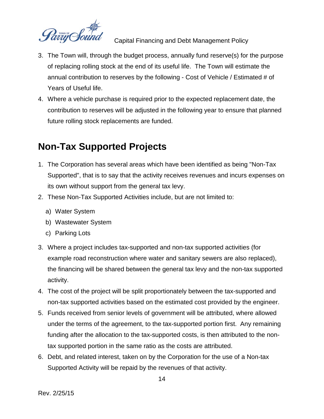

- 3. The Town will, through the budget process, annually fund reserve(s) for the purpose of replacing rolling stock at the end of its useful life. The Town will estimate the annual contribution to reserves by the following - Cost of Vehicle / Estimated # of Years of Useful life.
- 4. Where a vehicle purchase is required prior to the expected replacement date, the contribution to reserves will be adjusted in the following year to ensure that planned future rolling stock replacements are funded.

# **Non-Tax Supported Projects**

- 1. The Corporation has several areas which have been identified as being "Non-Tax Supported", that is to say that the activity receives revenues and incurs expenses on its own without support from the general tax levy.
- 2. These Non-Tax Supported Activities include, but are not limited to:
	- a) Water System
	- b) Wastewater System
	- c) Parking Lots
- 3. Where a project includes tax-supported and non-tax supported activities (for example road reconstruction where water and sanitary sewers are also replaced), the financing will be shared between the general tax levy and the non-tax supported activity.
- 4. The cost of the project will be split proportionately between the tax-supported and non-tax supported activities based on the estimated cost provided by the engineer.
- 5. Funds received from senior levels of government will be attributed, where allowed under the terms of the agreement, to the tax-supported portion first. Any remaining funding after the allocation to the tax-supported costs, is then attributed to the nontax supported portion in the same ratio as the costs are attributed.
- 6. Debt, and related interest, taken on by the Corporation for the use of a Non-tax Supported Activity will be repaid by the revenues of that activity.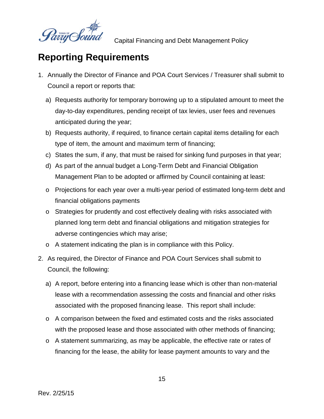

# **Reporting Requirements**

- 1. Annually the Director of Finance and POA Court Services / Treasurer shall submit to Council a report or reports that:
	- a) Requests authority for temporary borrowing up to a stipulated amount to meet the day-to-day expenditures, pending receipt of tax levies, user fees and revenues anticipated during the year;
	- b) Requests authority, if required, to finance certain capital items detailing for each type of item, the amount and maximum term of financing;
	- c) States the sum, if any, that must be raised for sinking fund purposes in that year;
	- d) As part of the annual budget a Long-Term Debt and Financial Obligation Management Plan to be adopted or affirmed by Council containing at least:
	- o Projections for each year over a multi-year period of estimated long-term debt and financial obligations payments
	- o Strategies for prudently and cost effectively dealing with risks associated with planned long term debt and financial obligations and mitigation strategies for adverse contingencies which may arise;
	- o A statement indicating the plan is in compliance with this Policy.
- 2. As required, the Director of Finance and POA Court Services shall submit to Council, the following:
	- a) A report, before entering into a financing lease which is other than non-material lease with a recommendation assessing the costs and financial and other risks associated with the proposed financing lease. This report shall include:
	- o A comparison between the fixed and estimated costs and the risks associated with the proposed lease and those associated with other methods of financing;
	- o A statement summarizing, as may be applicable, the effective rate or rates of financing for the lease, the ability for lease payment amounts to vary and the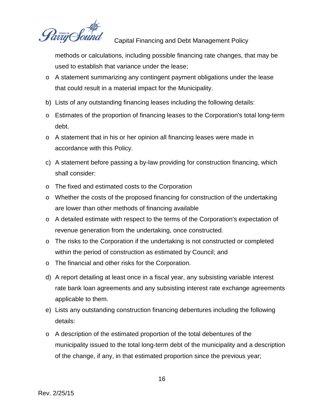Parrij Sou

methods or calculations, including possible financing rate changes, that may be used to establish that variance under the lease;

- o A statement summarizing any contingent payment obligations under the lease that could result in a material impact for the Municipality.
- b) Lists of any outstanding financing leases including the following details:
- o Estimates of the proportion of financing leases to the Corporation's total long-term debt.
- o A statement that in his or her opinion all financing leases were made in accordance with this Policy.
- c) A statement before passing a by-law providing for construction financing, which shall consider:
- o The fixed and estimated costs to the Corporation
- o Whether the costs of the proposed financing for construction of the undertaking are lower than other methods of financing available
- o A detailed estimate with respect to the terms of the Corporation's expectation of revenue generation from the undertaking, once constructed.
- o The risks to the Corporation if the undertaking is not constructed or completed within the period of construction as estimated by Council; and
- o The financial and other risks for the Corporation.
- d) A report detailing at least once in a fiscal year, any subsisting variable interest rate bank loan agreements and any subsisting interest rate exchange agreements applicable to them.
- e) Lists any outstanding construction financing debentures including the following details:
- o A description of the estimated proportion of the total debentures of the municipality issued to the total long-term debt of the municipality and a description of the change, if any, in that estimated proportion since the previous year;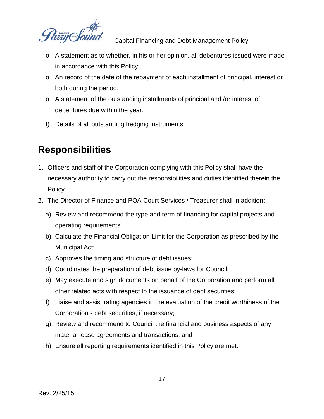

- o A statement as to whether, in his or her opinion, all debentures issued were made in accordance with this Policy;
- o An record of the date of the repayment of each installment of principal, interest or both during the period.
- o A statement of the outstanding installments of principal and /or interest of debentures due within the year.
- f) Details of all outstanding hedging instruments

# **Responsibilities**

- 1. Officers and staff of the Corporation complying with this Policy shall have the necessary authority to carry out the responsibilities and duties identified therein the Policy.
- 2. The Director of Finance and POA Court Services / Treasurer shall in addition:
	- a) Review and recommend the type and term of financing for capital projects and operating requirements;
	- b) Calculate the Financial Obligation Limit for the Corporation as prescribed by the Municipal Act;
	- c) Approves the timing and structure of debt issues;
	- d) Coordinates the preparation of debt issue by-laws for Council;
	- e) May execute and sign documents on behalf of the Corporation and perform all other related acts with respect to the issuance of debt securities;
	- f) Liaise and assist rating agencies in the evaluation of the credit worthiness of the Corporation's debt securities, if necessary;
	- g) Review and recommend to Council the financial and business aspects of any material lease agreements and transactions; and
	- h) Ensure all reporting requirements identified in this Policy are met.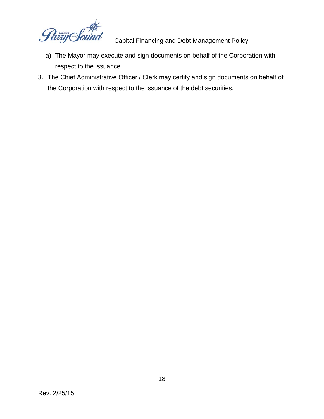any C

- a) The Mayor may execute and sign documents on behalf of the Corporation with respect to the issuance
- 3. The Chief Administrative Officer / Clerk may certify and sign documents on behalf of the Corporation with respect to the issuance of the debt securities.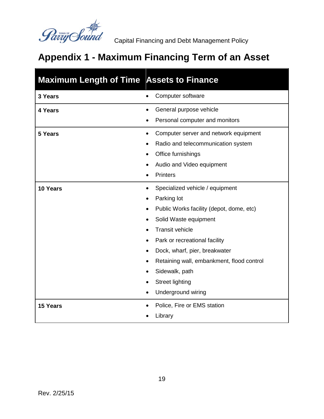

# **Appendix 1 - Maximum Financing Term of an Asset**

| <b>Maximum Length of Time Assets to Finance</b> |                                                       |
|-------------------------------------------------|-------------------------------------------------------|
| 3 Years                                         | Computer software<br>$\bullet$                        |
| 4 Years                                         | General purpose vehicle<br>$\bullet$                  |
|                                                 | Personal computer and monitors                        |
| 5 Years                                         | Computer server and network equipment<br>$\bullet$    |
|                                                 | Radio and telecommunication system                    |
|                                                 | Office furnishings                                    |
|                                                 | Audio and Video equipment                             |
|                                                 | <b>Printers</b><br>$\bullet$                          |
| 10 Years                                        | Specialized vehicle / equipment<br>$\bullet$          |
|                                                 | Parking lot<br>$\bullet$                              |
|                                                 | Public Works facility (depot, dome, etc)<br>$\bullet$ |
|                                                 | Solid Waste equipment                                 |
|                                                 | <b>Transit vehicle</b>                                |
|                                                 | Park or recreational facility                         |
|                                                 | Dock, wharf, pier, breakwater                         |
|                                                 | Retaining wall, embankment, flood control<br>٠        |
|                                                 | Sidewalk, path<br>$\bullet$                           |
|                                                 | <b>Street lighting</b>                                |
|                                                 | <b>Underground wiring</b><br>$\bullet$                |
| <b>15 Years</b>                                 | Police, Fire or EMS station                           |
|                                                 | Library                                               |